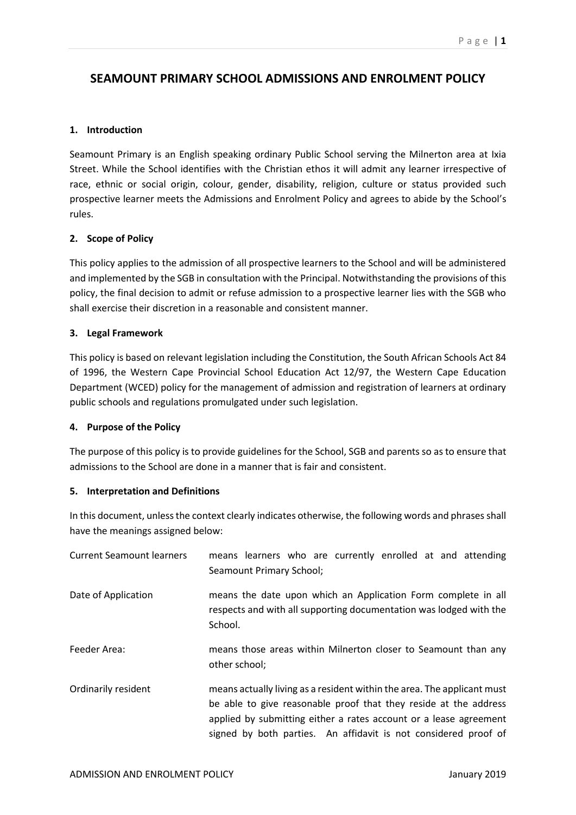# **SEAMOUNT PRIMARY SCHOOL ADMISSIONS AND ENROLMENT POLICY**

#### **1. Introduction**

Seamount Primary is an English speaking ordinary Public School serving the Milnerton area at Ixia Street. While the School identifies with the Christian ethos it will admit any learner irrespective of race, ethnic or social origin, colour, gender, disability, religion, culture or status provided such prospective learner meets the Admissions and Enrolment Policy and agrees to abide by the School's rules.

## **2. Scope of Policy**

This policy applies to the admission of all prospective learners to the School and will be administered and implemented by the SGB in consultation with the Principal. Notwithstanding the provisions of this policy, the final decision to admit or refuse admission to a prospective learner lies with the SGB who shall exercise their discretion in a reasonable and consistent manner.

## **3. Legal Framework**

This policy is based on relevant legislation including the Constitution, the South African Schools Act 84 of 1996, the Western Cape Provincial School Education Act 12/97, the Western Cape Education Department (WCED) policy for the management of admission and registration of learners at ordinary public schools and regulations promulgated under such legislation.

#### **4. Purpose of the Policy**

The purpose of this policy is to provide guidelines for the School, SGB and parents so as to ensure that admissions to the School are done in a manner that is fair and consistent.

# **5. Interpretation and Definitions**

In this document, unless the context clearly indicates otherwise, the following words and phrases shall have the meanings assigned below:

| <b>Current Seamount learners</b> | means learners who are currently enrolled at and attending<br>Seamount Primary School;                                                                                                                                                                                              |
|----------------------------------|-------------------------------------------------------------------------------------------------------------------------------------------------------------------------------------------------------------------------------------------------------------------------------------|
| Date of Application              | means the date upon which an Application Form complete in all<br>respects and with all supporting documentation was lodged with the<br>School.                                                                                                                                      |
| Feeder Area:                     | means those areas within Milnerton closer to Seamount than any<br>other school;                                                                                                                                                                                                     |
| Ordinarily resident              | means actually living as a resident within the area. The applicant must<br>be able to give reasonable proof that they reside at the address<br>applied by submitting either a rates account or a lease agreement<br>signed by both parties. An affidavit is not considered proof of |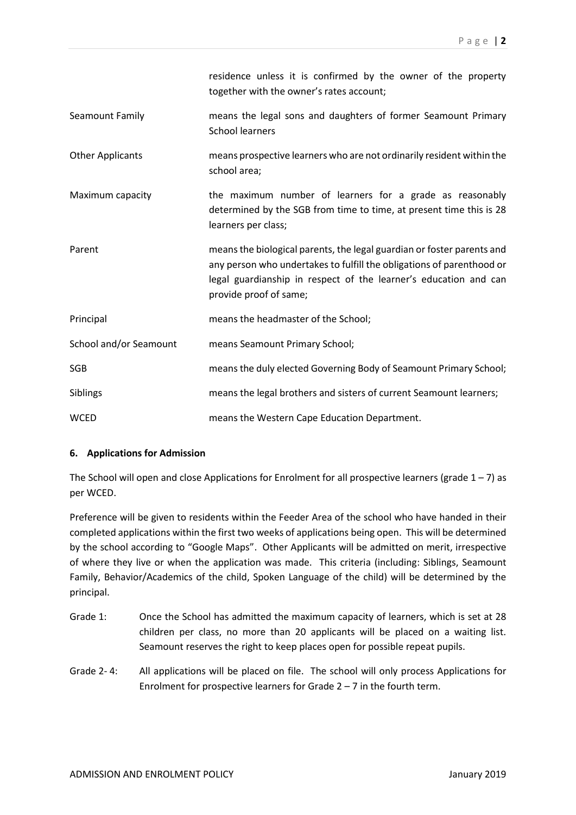|                         | residence unless it is confirmed by the owner of the property<br>together with the owner's rates account;                                                                                                                                     |
|-------------------------|-----------------------------------------------------------------------------------------------------------------------------------------------------------------------------------------------------------------------------------------------|
| Seamount Family         | means the legal sons and daughters of former Seamount Primary<br><b>School learners</b>                                                                                                                                                       |
| <b>Other Applicants</b> | means prospective learners who are not ordinarily resident within the<br>school area;                                                                                                                                                         |
| Maximum capacity        | the maximum number of learners for a grade as reasonably<br>determined by the SGB from time to time, at present time this is 28<br>learners per class;                                                                                        |
| Parent                  | means the biological parents, the legal guardian or foster parents and<br>any person who undertakes to fulfill the obligations of parenthood or<br>legal guardianship in respect of the learner's education and can<br>provide proof of same; |
| Principal               | means the headmaster of the School;                                                                                                                                                                                                           |
| School and/or Seamount  | means Seamount Primary School;                                                                                                                                                                                                                |
| <b>SGB</b>              | means the duly elected Governing Body of Seamount Primary School;                                                                                                                                                                             |
| Siblings                | means the legal brothers and sisters of current Seamount learners;                                                                                                                                                                            |
| <b>WCED</b>             | means the Western Cape Education Department.                                                                                                                                                                                                  |

#### **6. Applications for Admission**

The School will open and close Applications for Enrolment for all prospective learners (grade  $1 - 7$ ) as per WCED.

Preference will be given to residents within the Feeder Area of the school who have handed in their completed applications within the first two weeks of applications being open. This will be determined by the school according to "Google Maps". Other Applicants will be admitted on merit, irrespective of where they live or when the application was made. This criteria (including: Siblings, Seamount Family, Behavior/Academics of the child, Spoken Language of the child) will be determined by the principal.

- Grade 1: Once the School has admitted the maximum capacity of learners, which is set at 28 children per class, no more than 20 applicants will be placed on a waiting list. Seamount reserves the right to keep places open for possible repeat pupils.
- Grade 2- 4: All applications will be placed on file. The school will only process Applications for Enrolment for prospective learners for Grade  $2 - 7$  in the fourth term.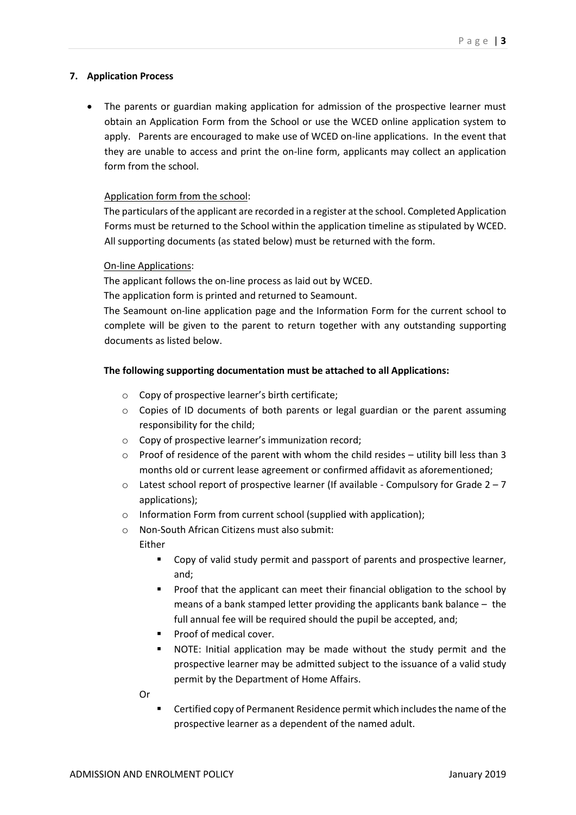#### **7. Application Process**

 The parents or guardian making application for admission of the prospective learner must obtain an Application Form from the School or use the WCED online application system to apply. Parents are encouraged to make use of WCED on-line applications. In the event that they are unable to access and print the on-line form, applicants may collect an application form from the school.

## Application form from the school:

The particulars of the applicant are recorded in a register at the school. Completed Application Forms must be returned to the School within the application timeline as stipulated by WCED. All supporting documents (as stated below) must be returned with the form.

#### On-line Applications:

The applicant follows the on-line process as laid out by WCED.

The application form is printed and returned to Seamount.

The Seamount on-line application page and the Information Form for the current school to complete will be given to the parent to return together with any outstanding supporting documents as listed below.

## **The following supporting documentation must be attached to all Applications:**

- o Copy of prospective learner's birth certificate;
- o Copies of ID documents of both parents or legal guardian or the parent assuming responsibility for the child;
- o Copy of prospective learner's immunization record;
- $\circ$  Proof of residence of the parent with whom the child resides utility bill less than 3 months old or current lease agreement or confirmed affidavit as aforementioned;
- $\circ$  Latest school report of prospective learner (If available Compulsory for Grade 2 7 applications);
- o Information Form from current school (supplied with application);
- o Non-South African Citizens must also submit:

Either

- Copy of valid study permit and passport of parents and prospective learner, and;
- Proof that the applicant can meet their financial obligation to the school by means of a bank stamped letter providing the applicants bank balance – the full annual fee will be required should the pupil be accepted, and;
- **Proof of medical cover.**
- NOTE: Initial application may be made without the study permit and the prospective learner may be admitted subject to the issuance of a valid study permit by the Department of Home Affairs.

Or

 Certified copy of Permanent Residence permit which includes the name of the prospective learner as a dependent of the named adult.